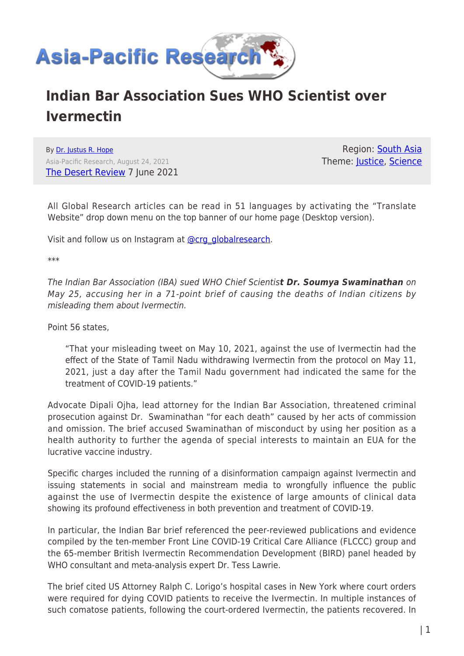

## **Indian Bar Association Sues WHO Scientist over Ivermectin**

By [Dr. Justus R. Hope](https://www.asia-pacificresearch.com/author/justus-r-hope) Asia-Pacific Research, August 24, 2021 [The Desert Review](https://www.thedesertreview.com/opinion/columnists/indian-bar-association-sues-who-scientist-over-ivermectin/article_f90599f8-c7be-11eb-a8dc-0b3cbb3b4dfa.html) 7 June 2021

Region: [South Asia](https://www.asia-pacificresearch.com/region/south-asia) Theme: [Justice,](https://www.asia-pacificresearch.com/theme/justice-2) [Science](https://www.asia-pacificresearch.com/theme/science)

All Global Research articles can be read in 51 languages by activating the "Translate Website" drop down menu on the top banner of our home page (Desktop version).

Visit and follow us on Instagram at [@crg\\_globalresearch.](https://www.instagram.com/crg_globalresearch/)

\*\*\*

The Indian Bar Association (IBA) sued WHO Chief Scientis*t Dr. Soumya Swaminathan* on May 25, accusing her in a 71-point brief of causing the deaths of Indian citizens by misleading them about Ivermectin.

Point 56 states,

"That your misleading tweet on May 10, 2021, against the use of Ivermectin had the effect of the State of Tamil Nadu withdrawing Ivermectin from the protocol on May 11, 2021, just a day after the Tamil Nadu government had indicated the same for the treatment of COVID-19 patients."

Advocate Dipali Ojha, lead attorney for the Indian Bar Association, threatened criminal prosecution against Dr. Swaminathan "for each death" caused by her acts of commission and omission. The brief accused Swaminathan of misconduct by using her position as a health authority to further the agenda of special interests to maintain an EUA for the lucrative vaccine industry.

Specific charges included the running of a disinformation campaign against Ivermectin and issuing statements in social and mainstream media to wrongfully influence the public against the use of Ivermectin despite the existence of large amounts of clinical data showing its profound effectiveness in both prevention and treatment of COVID-19.

In particular, the Indian Bar brief referenced the peer-reviewed publications and evidence compiled by the ten-member Front Line COVID-19 Critical Care Alliance (FLCCC) group and the 65-member British Ivermectin Recommendation Development (BIRD) panel headed by WHO consultant and meta-analysis expert Dr. Tess Lawrie.

The brief cited US Attorney Ralph C. Lorigo's hospital cases in New York where court orders were required for dying COVID patients to receive the Ivermectin. In multiple instances of such comatose patients, following the court-ordered Ivermectin, the patients recovered. In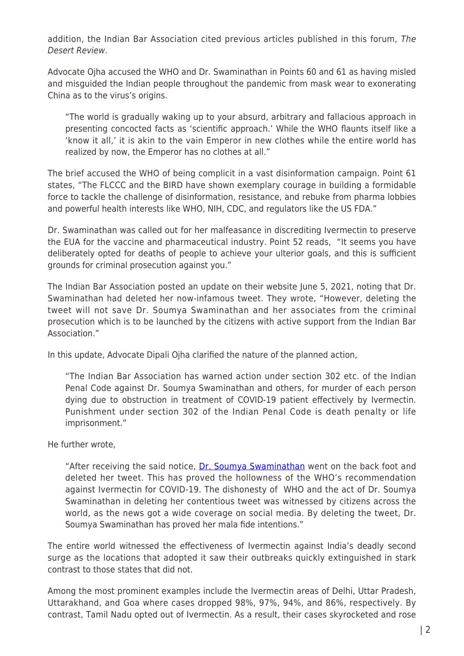addition, the Indian Bar Association cited previous articles published in this forum, The Desert Review.

Advocate Ojha accused the WHO and Dr. Swaminathan in Points 60 and 61 as having misled and misguided the Indian people throughout the pandemic from mask wear to exonerating China as to the virus's origins.

"The world is gradually waking up to your absurd, arbitrary and fallacious approach in presenting concocted facts as 'scientific approach.' While the WHO flaunts itself like a 'know it all,' it is akin to the vain Emperor in new clothes while the entire world has realized by now, the Emperor has no clothes at all."

The brief accused the WHO of being complicit in a vast disinformation campaign. Point 61 states, "The FLCCC and the BIRD have shown exemplary courage in building a formidable force to tackle the challenge of disinformation, resistance, and rebuke from pharma lobbies and powerful health interests like WHO, NIH, CDC, and regulators like the US FDA."

Dr. Swaminathan was called out for her malfeasance in discrediting Ivermectin to preserve the EUA for the vaccine and pharmaceutical industry. Point 52 reads, "It seems you have deliberately opted for deaths of people to achieve your ulterior goals, and this is sufficient grounds for criminal prosecution against you."

The Indian Bar Association posted an update on their website June 5, 2021, noting that Dr. Swaminathan had deleted her now-infamous tweet. They wrote, "However, deleting the tweet will not save Dr. Soumya Swaminathan and her associates from the criminal prosecution which is to be launched by the citizens with active support from the Indian Bar Association."

In this update, Advocate Dipali Ojha clarified the nature of the planned action,

"The Indian Bar Association has warned action under section 302 etc. of the Indian Penal Code against Dr. Soumya Swaminathan and others, for murder of each person dying due to obstruction in treatment of COVID-19 patient effectively by Ivermectin. Punishment under section 302 of the Indian Penal Code is death penalty or life imprisonment."

He further wrote,

"After receiving the said notice, [Dr. Soumya Swaminathan](https://indianbarassociation.in/press-releases/) went on the back foot and deleted her tweet. This has proved the hollowness of the WHO's recommendation against Ivermectin for COVID-19. The dishonesty of WHO and the act of Dr. Soumya Swaminathan in deleting her contentious tweet was witnessed by citizens across the world, as the news got a wide coverage on social media. By deleting the tweet, Dr. Soumya Swaminathan has proved her mala fide intentions."

The entire world witnessed the effectiveness of Ivermectin against India's deadly second surge as the locations that adopted it saw their outbreaks quickly extinguished in stark contrast to those states that did not.

Among the most prominent examples include the Ivermectin areas of Delhi, Uttar Pradesh, Uttarakhand, and Goa where cases dropped 98%, 97%, 94%, and 86%, respectively. By contrast, Tamil Nadu opted out of Ivermectin. As a result, their cases skyrocketed and rose